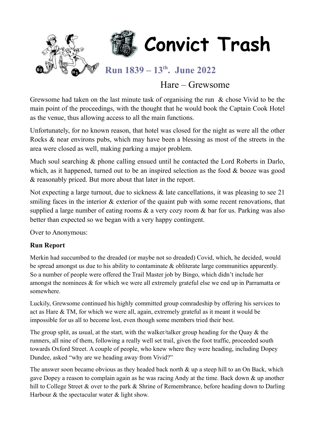

## Hare – Grewsome

Grewsome had taken on the last minute task of organising the run & chose Vivid to be the main point of the proceedings, with the thought that he would book the Captain Cook Hotel as the venue, thus allowing access to all the main functions.

Unfortunately, for no known reason, that hotel was closed for the night as were all the other Rocks & near environs pubs, which may have been a blessing as most of the streets in the area were closed as well, making parking a major problem.

Much soul searching & phone calling ensued until he contacted the Lord Roberts in Darlo, which, as it happened, turned out to be an inspired selection as the food & booze was good & reasonably priced. But more about that later in the report.

Not expecting a large turnout, due to sickness & late cancellations, it was pleasing to see 21 smiling faces in the interior  $\&$  exterior of the quaint pub with some recent renovations, that supplied a large number of eating rooms & a very cozy room & bar for us. Parking was also better than expected so we began with a very happy contingent.

Over to Anonymous:

#### **Run Report**

Merkin had succumbed to the dreaded (or maybe not so dreaded) Covid, which, he decided, would be spread amongst us due to his ability to contaminate & obliterate large communities apparently. So a number of people were offered the Trail Master job by Bingo, which didn't include her amongst the nominees & for which we were all extremely grateful else we end up in Parramatta or somewhere.

Luckily, Grewsome continued his highly committed group comradeship by offering his services to act as Hare & TM, for which we were all, again, extremely grateful as it meant it would be impossible for us all to become lost, even though some members tried their best.

The group split, as usual, at the start, with the walker/talker group heading for the Quay & the runners, all nine of them, following a really well set trail, given the foot traffic, proceeded south towards Oxford Street. A couple of people, who knew where they were heading, including Dopey Dundee, asked "why are we heading away from Vivid?"

The answer soon became obvious as they headed back north & up a steep hill to an On Back, which gave Dopey a reason to complain again as he was racing Andy at the time. Back down & up another hill to College Street & over to the park & Shrine of Remembrance, before heading down to Darling Harbour & the spectacular water & light show.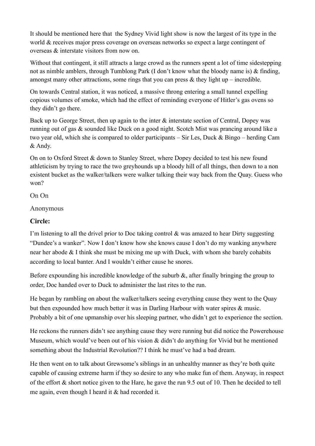It should be mentioned here that the Sydney Vivid light show is now the largest of its type in the world & receives major press coverage on overseas networks so expect a large contingent of overseas & interstate visitors from now on.

Without that contingent, it still attracts a large crowd as the runners spent a lot of time sidestepping not as nimble amblers, through Tumblong Park (I don't know what the bloody name is) & finding, amongst many other attractions, some rings that you can press  $\&$  they light up – incredible.

On towards Central station, it was noticed, a massive throng entering a small tunnel expelling copious volumes of smoke, which had the effect of reminding everyone of Hitler's gas ovens so they didn't go there.

Back up to George Street, then up again to the inter & interstate section of Central, Dopey was running out of gas & sounded like Duck on a good night. Scotch Mist was prancing around like a two year old, which she is compared to older participants – Sir Les, Duck & Bingo – herding Cam & Andy.

On on to Oxford Street & down to Stanley Street, where Dopey decided to test his new found athleticism by trying to race the two greyhounds up a bloody hill of all things, then down to a non existent bucket as the walker/talkers were walker talking their way back from the Quay. Guess who won?

On On

Anonymous

#### **Circle:**

I'm listening to all the drivel prior to Doc taking control  $\&$  was amazed to hear Dirty suggesting "Dundee's a wanker". Now I don't know how she knows cause I don't do my wanking anywhere near her abode & I think she must be mixing me up with Duck, with whom she barely cohabits according to local banter. And I wouldn't either cause he snores.

Before expounding his incredible knowledge of the suburb  $\&$ , after finally bringing the group to order, Doc handed over to Duck to administer the last rites to the run.

He began by rambling on about the walker/talkers seeing everything cause they went to the Quay but then expounded how much better it was in Darling Harbour with water spires & music. Probably a bit of one upmanship over his sleeping partner, who didn't get to experience the section.

He reckons the runners didn't see anything cause they were running but did notice the Powerehouse Museum, which would've been out of his vision & didn't do anything for Vivid but he mentioned something about the Industrial Revolution?? I think he must've had a bad dream.

He then went on to talk about Grewsome's siblings in an unhealthy manner as they're both quite capable of causing extreme harm if they so desire to any who make fun of them. Anyway, in respect of the effort & short notice given to the Hare, he gave the run 9.5 out of 10. Then he decided to tell me again, even though I heard it & had recorded it.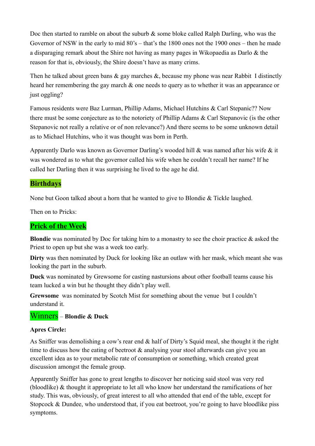Doc then started to ramble on about the suburb & some bloke called Ralph Darling, who was the Governor of NSW in the early to mid 80's – that's the 1800 ones not the 1900 ones – then he made a disparaging remark about the Shire not having as many pages in Wikopaedia as Darlo & the reason for that is, obviously, the Shire doesn't have as many crims.

Then he talked about green bans  $\&$  gay marches  $\&$ , because my phone was near Rabbit I distinctly heard her remembering the gay march & one needs to query as to whether it was an appearance or just oggling?

Famous residents were Baz Lurman, Phillip Adams, Michael Hutchins & Carl Stepanic?? Now there must be some conjecture as to the notoriety of Phillip Adams & Carl Stepanovic (is the other Stepanovic not really a relative or of non relevance?) And there seems to be some unknown detail as to Michael Hutchins, who it was thought was born in Perth.

Apparently Darlo was known as Governor Darling's wooded hill & was named after his wife & it was wondered as to what the governor called his wife when he couldn't recall her name? If he called her Darling then it was surprising he lived to the age he did.

#### **Birthdays**

None but Goon talked about a horn that he wanted to give to Blondie & Tickle laughed.

Then on to Pricks:

#### **Prick of the Week**

**Blondie** was nominated by Doc for taking him to a monastry to see the choir practice & asked the Priest to open up but she was a week too early.

**Dirty** was then nominated by Duck for looking like an outlaw with her mask, which meant she was looking the part in the suburb.

**Duck** was nominated by Grewsome for casting nastursions about other football teams cause his team lucked a win but he thought they didn't play well.

**Grewsome** was nominated by Scotch Mist for something about the venue but I couldn't understand it.

## Winners – **Blondie & Duck**

#### **Apres Circle:**

As Sniffer was demolishing a cow's rear end & half of Dirty's Squid meal, she thought it the right time to discuss how the eating of beetroot & analysing your stool afterwards can give you an excellent idea as to your metabolic rate of consumption or something, which created great discussion amongst the female group.

Apparently Sniffer has gone to great lengths to discover her noticing said stool was very red (bloodlike) & thought it appropriate to let all who know her understand the ramifications of her study. This was, obviously, of great interest to all who attended that end of the table, except for Stopcock & Dundee, who understood that, if you eat beetroot, you're going to have bloodlike piss symptoms.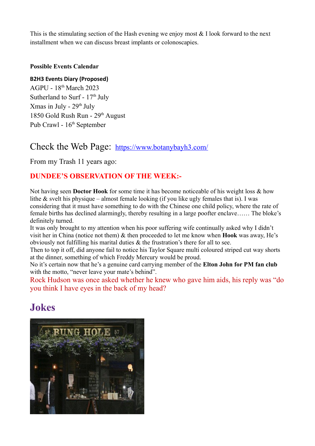This is the stimulating section of the Hash evening we enjoy most  $\&$  I look forward to the next installment when we can discuss breast implants or colonoscapies.

#### **Possible Events Calendar**

#### **B2H3 Events Diary (Proposed)**

AGPU -  $18^{th}$  March 2023 Sutherland to Surf - 17<sup>th</sup> July Xmas in July - 29<sup>th</sup> July 1850 Gold Rush Run - 29<sup>th</sup> August Pub Crawl - 16<sup>th</sup> September

## Check the Web Page: <https://www.botanybayh3.com/>

From my Trash 11 years ago:

## **DUNDEE'S OBSERVATION OF THE WEEK:-**

Not having seen **Doctor Hook** for some time it has become noticeable of his weight loss & how lithe  $\&$  svelt his physique – almost female looking (if you like ugly females that is). I was considering that it must have something to do with the Chinese one child policy, where the rate of female births has declined alarmingly, thereby resulting in a large poofter enclave…… The bloke's definitely turned.

It was only brought to my attention when his poor suffering wife continually asked why I didn't visit her in China (notice not them) & then proceeded to let me know when **Hook** was away, He's obviously not fulfilling his marital duties & the frustration's there for all to see.

Then to top it off, did anyone fail to notice his Taylor Square multi coloured striped cut way shorts at the dinner, something of which Freddy Mercury would be proud.

No it's certain now that he's a genuine card carrying member of the **Elton John for PM fan club**  with the motto, "never leave your mate's behind".

Rock Hudson was once asked whether he knew who gave him aids, his reply was "do you think I have eyes in the back of my head?

## **Jokes**

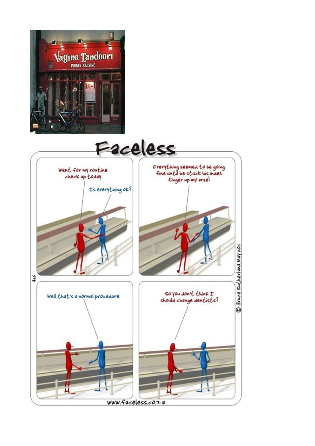

Vagina Tandoori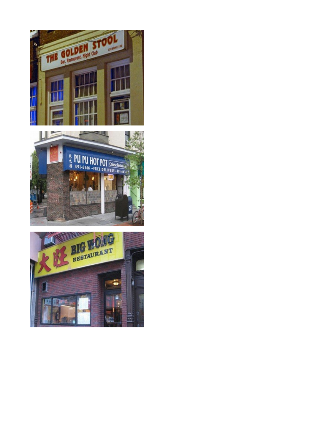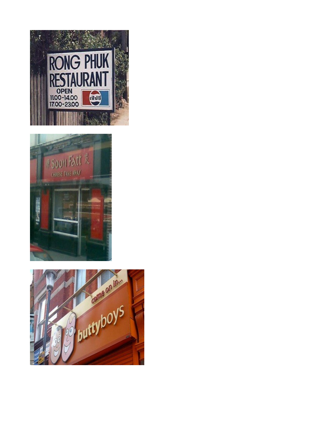



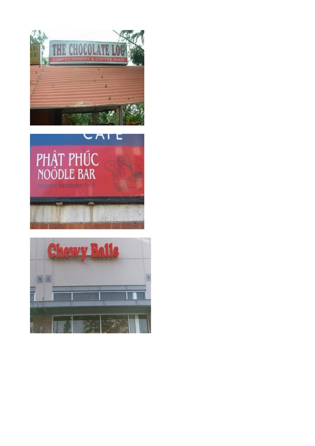



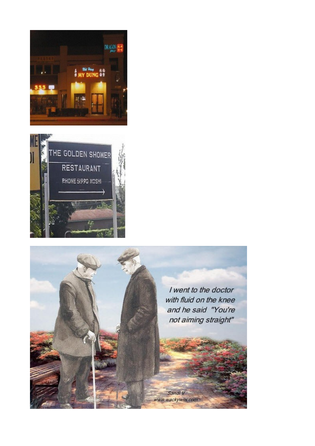



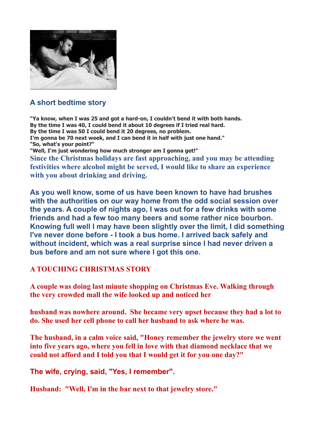

## **A short bedtime story**

**"Ya know, when I was 25 and got a hard-on, I couldn't bend it with both hands. By the time I was 40, I could bend it about 10 degrees if I tried real hard. By the time I was 50 I could bend it 20 degrees, no problem. I'm gonna be 70 next week, and I can bend it in half with just one hand." "So, what's your point?" "Well, I'm just wondering how much stronger am I gonna get!" Since the Christmas holidays are fast approaching, and you may be attending festivities where alcohol might be served, I would like to share an experience with you about drinking and driving.**

**As you well know, some of us have been known to have had brushes with the authorities on our way home from the odd social session over the years. A couple of nights ago, I was out for a few drinks with some friends and had a few too many beers and some rather nice bourbon. Knowing full well I may have been slightly over the limit, I did something I've never done before - I took a bus home. I arrived back safely and without incident, which was a real surprise since I had never driven a bus before and am not sure where I got this one.**

## **A TOUCHING CHRISTMAS STORY**

**A couple was doing last minute shopping on Christmas Eve. Walking through the very crowded mall the wife looked up and noticed her**

**husband was nowhere around. She became very upset because they had a lot to do. She used her cell phone to call her husband to ask where he was.** 

**The husband, in a calm voice said, "Honey remember the jewelry store we went into five years ago, where you fell in love with that diamond necklace that we could not afford and I told you that I would get it for you one day?"** 

**The wife, crying, said, "Yes, I remember".** 

**Husband: "Well, I'm in the bar next to that jewelry store."**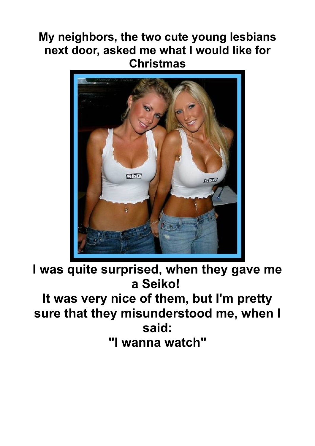# **My neighbors, the two cute young lesbians next door, asked me what I would like for Christmas**



**I was quite surprised, when they gave me a Seiko! It was very nice of them, but I'm pretty sure that they misunderstood me, when I said: "I wanna watch"**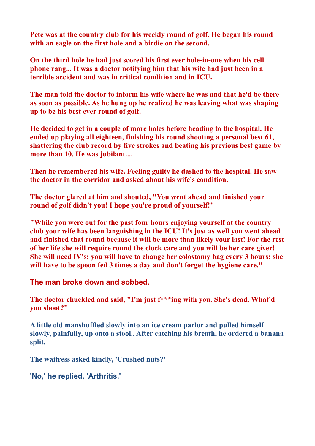**Pete was at the country club for his weekly round of golf. He began his round with an eagle on the first hole and a birdie on the second.**

**On the third hole he had just scored his first ever hole-in-one when his cell phone rang... It was a doctor notifying him that his wife had just been in a terrible accident and was in critical condition and in ICU.**

**The man told the doctor to inform his wife where he was and that he'd be there as soon as possible. As he hung up he realized he was leaving what was shaping up to be his best ever round of golf.**

**He decided to get in a couple of more holes before heading to the hospital. He ended up playing all eighteen, finishing his round shooting a personal best 61, shattering the club record by five strokes and beating his previous best game by more than 10. He was jubilant....**

**Then he remembered his wife. Feeling guilty he dashed to the hospital. He saw the doctor in the corridor and asked about his wife's condition.**

**The doctor glared at him and shouted, "You went ahead and finished your round of golf didn't you! I hope you're proud of yourself!"**

**"While you were out for the past four hours enjoying yourself at the country club your wife has been languishing in the ICU! It's just as well you went ahead and finished that round because it will be more than likely your last! For the rest of her life she will require round the clock care and you will be her care giver! She will need IV's; you will have to change her colostomy bag every 3 hours; she will have to be spoon fed 3 times a day and don't forget the hygiene care."**

**The man broke down and sobbed.**

**The doctor chuckled and said, "I'm just f\*\*\*ing with you. She's dead. What'd you shoot?"**

**A little old manshuffled slowly into an ice cream parlor and pulled himself slowly, painfully, up onto a stool.. After catching his breath, he ordered a banana split.** 

**The waitress asked kindly, 'Crushed nuts?'** 

**'No,' he replied, 'Arthritis.'**